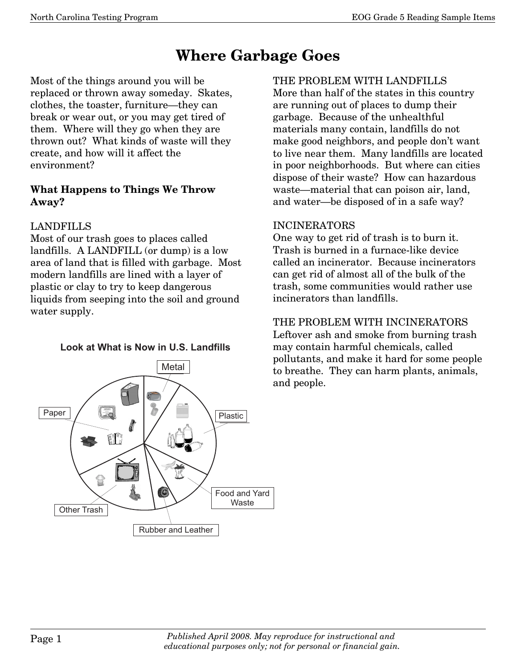# **Where Garbage Goes**

Most of the things around you will be replaced or thrown away someday. Skates, clothes, the toaster, furniture–they can break or wear out, or you may get tired of them. Where will they go when they are thrown out? What kinds of waste will they create, and how will it affect the environment?

#### **What Happens to Things We Throw Away?**

#### LANDFILLS

Most of our trash goes to places called landfills. A LANDFILL (or dump) is a low area of land that is filled with garbage. Most modern landfills are lined with a layer of plastic or clay to try to keep dangerous liquids from seeping into the soil and ground water supply.

#### Look at What is Now in U.S. Landfills



## THE PROBLEM WITH LANDFILLS

More than half of the states in this country are running out of places to dump their garbage. Because of the unhealthful materials many contain, landfills do not make good neighbors, and people don't want to live near them. Many landfills are located in poor neighborhoods. But where can cities dispose of their waste? How can hazardous waste–material that can poison air, land, and water–be disposed of in a safe way?

## INCINERATORS

One way to get rid of trash is to burn it. Trash is burned in a furnace-like device called an incinerator. Because incinerators can get rid of almost all of the bulk of the trash, some communities would rather use incinerators than landfills.

## THE PROBLEM WITH INCINERATORS

Leftover ash and smoke from burning trash may contain harmful chemicals, called pollutants, and make it hard for some people to breathe. They can harm plants, animals, and people.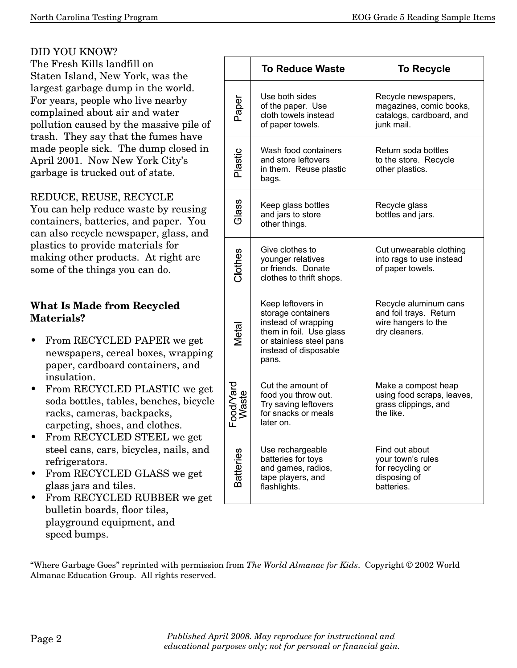## DID YOU KNOW?

The Fresh Kills landfill on Staten Island, New York, was the largest garbage dump in the world. For years, people who live nearby complained about air and water pollution caused by the massive pile of trash. They say that the fumes have made people sick. The dump closed in April 2001. Now New York City's garbage is trucked out of state.

#### REDUCE, REUSE, RECYCLE

You can help reduce waste by reusing containers, batteries, and paper. You can also recycle newspaper, glass, and plastics to provide materials for making other products. At right are some of the things you can do.

#### **What Is Made from Recycled Materials?**

- From RECYCLED PAPER we get newspapers, cereal boxes, wrapping paper, cardboard containers, and insulation.
- From RECYCLED PLASTIC we get soda bottles, tables, benches, bicycle racks, cameras, backpacks, carpeting, shoes, and clothes.
- From RECYCLED STEEL we get steel cans, cars, bicycles, nails, and refrigerators.
- From RECYCLED GLASS we get glass jars and tiles.
- From RECYCLED RUBBER we get bulletin boards, floor tiles, playground equipment, and speed bumps.

|                    | <b>To Reduce Waste</b>                                                                                                                                 | <b>To Recycle</b>                                                                           |  |  |
|--------------------|--------------------------------------------------------------------------------------------------------------------------------------------------------|---------------------------------------------------------------------------------------------|--|--|
| Paper              | Use both sides<br>of the paper. Use<br>cloth towels instead<br>of paper towels.                                                                        | Recycle newspapers,<br>magazines, comic books,<br>catalogs, cardboard, and<br>junk mail.    |  |  |
| Plastic            | Wash food containers<br>and store leftovers<br>in them. Reuse plastic<br>bags.                                                                         | Return soda bottles<br>to the store. Recycle<br>other plastics.                             |  |  |
| Glass              | Keep glass bottles<br>and jars to store<br>other things.                                                                                               | Recycle glass<br>bottles and jars.                                                          |  |  |
| Clothes            | Give clothes to<br>younger relatives<br>or friends. Donate<br>clothes to thrift shops.                                                                 | Cut unwearable clothing<br>into rags to use instead<br>of paper towels.                     |  |  |
| Metal              | Keep leftovers in<br>storage containers<br>instead of wrapping<br>them in foil. Use glass<br>or stainless steel pans<br>instead of disposable<br>pans. | Recycle aluminum cans<br>and foil trays. Return<br>wire hangers to the<br>dry cleaners.     |  |  |
| Food/Yard<br>Waste | Cut the amount of<br>food you throw out.<br>Try saving leftovers<br>for snacks or meals<br>later on.                                                   | Make a compost heap<br>using food scraps, leaves,<br>grass clippings, and<br>the like.      |  |  |
| <b>Batteries</b>   | Use rechargeable<br>batteries for toys<br>and games, radios,<br>tape players, and<br>flashlights.                                                      | Find out about<br>your town's rules<br>for recycling or<br>disposing of<br><b>hatteries</b> |  |  |

"Where Garbage Goes" reprinted with permission from *The World Almanac for Kids*. Copyright © 2002 World Almanac Education Group. All rights reserved.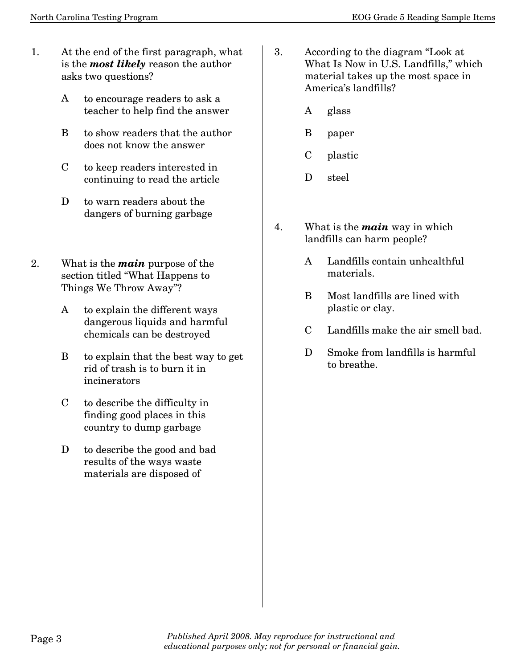- 1. At the end of the first paragraph, what is the *most likely* reason the author asks two questions?
	- A to encourage readers to ask a teacher to help find the answer
	- B to show readers that the author does not know the answer
	- C to keep readers interested in continuing to read the article
	- D to warn readers about the dangers of burning garbage
- 2. What is the *main* purpose of the section titled "What Happens to Things We Throw Away"?
	- A to explain the different ways dangerous liquids and harmful chemicals can be destroyed
	- B to explain that the best way to get rid of trash is to burn it in incinerators
	- C to describe the difficulty in finding good places in this country to dump garbage
	- D to describe the good and bad results of the ways waste materials are disposed of
- 3. According to the diagram "Look at What Is Now in U.S. Landfills," which material takes up the most space in America's landfills?
	- A glass
	- B paper
	- C plastic
	- D steel
- 4. What is the *main* way in which landfills can harm people?
	- A Landfills contain unhealthful materials.
	- B Most landfills are lined with plastic or clay.
	- C Landfills make the air smell bad.
	- D Smoke from landfills is harmful to breathe.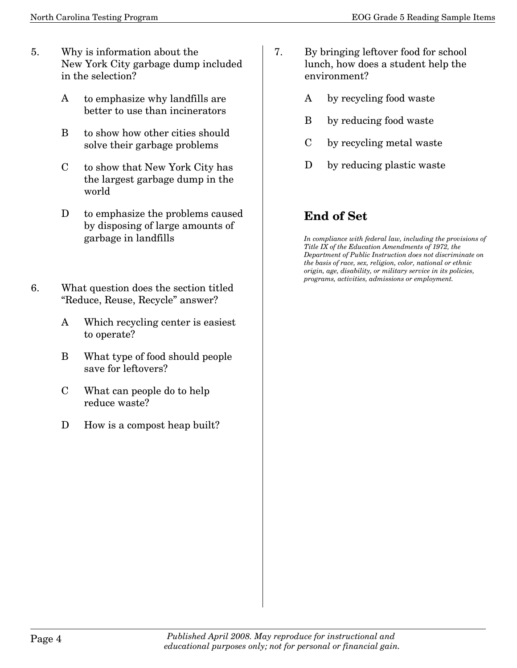- 5. Why is information about the New York City garbage dump included in the selection?
	- A to emphasize why landfills are better to use than incinerators
	- B to show how other cities should solve their garbage problems
	- C to show that New York City has the largest garbage dump in the world
	- D to emphasize the problems caused by disposing of large amounts of garbage in landfills
- 6. What question does the section titled "Reduce, Reuse, Recycle" answer?
	- A Which recycling center is easiest to operate?
	- B What type of food should people save for leftovers?
	- C What can people do to help reduce waste?
	- D How is a compost heap built?
- 7. By bringing leftover food for school lunch, how does a student help the environment?
	- A by recycling food waste
	- B by reducing food waste
	- C by recycling metal waste
	- D by reducing plastic waste

## **End of Set**

*In compliance with federal law, including the provisions of Title IX of the Education Amendments of 1972, the Department of Public Instruction does not discriminate on the basis of race, sex, religion, color, national or ethnic origin, age, disability, or military service in its policies, programs, activities, admissions or employment.*